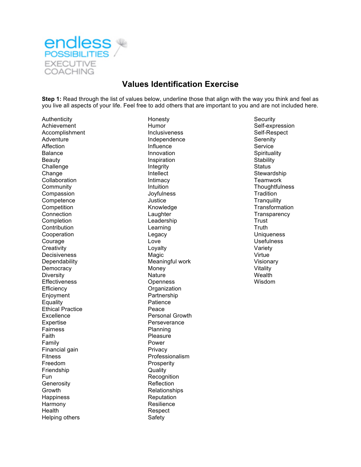

## **Values Identification Exercise**

**Step 1:** Read through the list of values below, underline those that align with the way you think and feel as you live all aspects of your life. Feel free to add others that are important to you and are not included here.

Authenticity **Honesty Honesty Honesty Security** Achievement **Exercise Expression** Humor **Humor** Self-expression Accomplishment **Accomplishment** Inclusiveness and Self-Respect **Adventure**<br>Adventure **Adventure** Independence **COM** Affection **Influence Influence** Service Balance **Innovation Innovation Innovation Spirituality** Beauty **Inspiration Inspiration Inspiration Stability** Challenge **Integrity Integrity** Status Status Change **Intellect** Stewardship Collaboration **Intimacy Intimacy** Teamwork **Community Community** Community Intuition Community Thoughtfulness Compassion Joyfulness Tradition Competence Justice Competition **Competition** Competition Competition **Knowledge Transformation** Connection **Connection Connection Connection Connection Connection Connection Connection Connection Connection Connection Connection Connection Connection Connection Connection Connection Co** Completion **Completion** Leadership **Leadership Leadership** Trust Contribution **Contribution** Contribution **Contribution** Contribution **Truth** Cooperation **Cooperation** Cooperation **Cooperation** Legacy **Cooperation** Courage Love Usefulness Creativity **Creativity** Creativity Creativity **Creativity** Creativity Development Creativity Decisiveness Magic Magic Virtue Dependability **Meaningful work Meaningful work** Visionary Democracy **Money** Money **Money Vitality** Diversity Nature Wealth Effectiveness Openness Wisdom Efficiency **Organization** Enjoyment Partnership Equality **Patience** Ethical Practice **Peace** Excellence **Personal Growth** Expertise Perseverance<br>
Fairness Planning Faith **Pleasure** Family **Power** Financial gain **Privacy** Fitness **Professionalism** Freedom Prosperity Friendship **Called Contact Contact Contact Contact Contact Contact Contact Contact Contact Contact Contact Contact Contact Contact Contact Contact Contact Contact Contact Contact Contact Contact Contact Contact Contact C** Fun Recognition Generosity **Reflection** Growth **Relationships** Relationships Happiness Reputation Harmony **Resilience** Health **Respect** Helping others Safety

Independence Planning